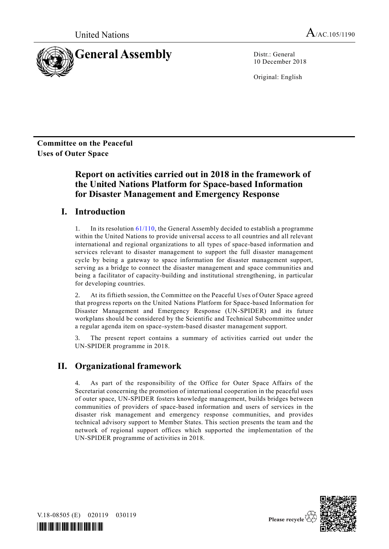United Nations  $A_{/AC.105/1190}$ 



10 December 2018

Original: English

**Committee on the Peaceful Uses of Outer Space**

# **Report on activities carried out in 2018 in the framework of the United Nations Platform for Space-based Information for Disaster Management and Emergency Response**

# **I. Introduction**

1. In its resolution  $61/110$ , the General Assembly decided to establish a programme within the United Nations to provide universal access to all countries and all relevant international and regional organizations to all types of space-based information and services relevant to disaster management to support the full disaster management cycle by being a gateway to space information for disaster management support, serving as a bridge to connect the disaster management and space communities and being a facilitator of capacity-building and institutional strengthening, in particular for developing countries.

2. At its fiftieth session, the Committee on the Peaceful Uses of Outer Space agreed that progress reports on the United Nations Platform for Space-based Information for Disaster Management and Emergency Response (UN-SPIDER) and its future workplans should be considered by the Scientific and Technical Subcommittee under a regular agenda item on space-system-based disaster management support.

3. The present report contains a summary of activities carried out under the UN-SPIDER programme in 2018.

# **II. Organizational framework**

4. As part of the responsibility of the Office for Outer Space Affairs of the Secretariat concerning the promotion of international cooperation in the peaceful uses of outer space, UN-SPIDER fosters knowledge management, builds bridges between communities of providers of space-based information and users of services in the disaster risk management and emergency response communities, and provides technical advisory support to Member States. This section presents the team and the network of regional support offices which supported the implementation of the UN-SPIDER programme of activities in 2018.



V.18-08505 (E) 020119 030119

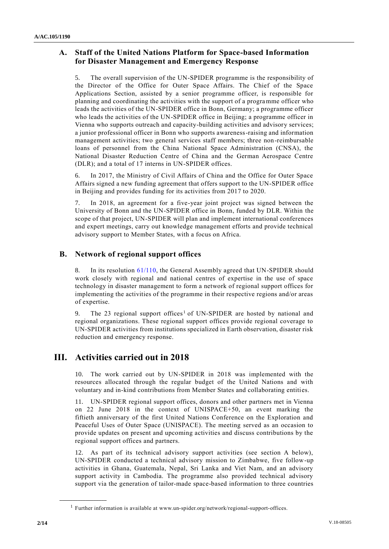# **A. Staff of the United Nations Platform for Space-based Information for Disaster Management and Emergency Response**

5. The overall supervision of the UN-SPIDER programme is the responsibility of the Director of the Office for Outer Space Affairs. The Chief of the Space Applications Section, assisted by a senior programme officer, is responsible for planning and coordinating the activities with the support of a programme officer who leads the activities of the UN-SPIDER office in Bonn, Germany; a programme officer who leads the activities of the UN-SPIDER office in Beijing; a programme officer in Vienna who supports outreach and capacity-building activities and advisory services; a junior professional officer in Bonn who supports awareness-raising and information management activities; two general services staff members; three non-reimbursable loans of personnel from the China National Space Administration (CNSA), the National Disaster Reduction Centre of China and the German Aerospace Centre (DLR); and a total of 17 interns in UN-SPIDER offices.

6. In 2017, the Ministry of Civil Affairs of China and the Office for Outer Space Affairs signed a new funding agreement that offers support to the UN-SPIDER office in Beijing and provides funding for its activities from 2017 to 2020.

7. In 2018, an agreement for a five-year joint project was signed between the University of Bonn and the UN-SPIDER office in Bonn, funded by DLR. Within the scope of that project, UN-SPIDER will plan and implement international conferences and expert meetings, carry out knowledge management efforts and provide technical advisory support to Member States, with a focus on Africa.

# **B. Network of regional support offices**

8. In its resolution [61/110,](http://undocs.org/A/RES/61/110) the General Assembly agreed that UN-SPIDER should work closely with regional and national centres of expertise in the use of space technology in disaster management to form a network of regional support offices for implementing the activities of the programme in their respective regions and/or areas of expertise.

9. The 23 regional support offices<sup>1</sup> of UN-SPIDER are hosted by national and regional organizations. These regional support offices provide regional coverage to UN-SPIDER activities from institutions specialized in Earth observation, disaster risk reduction and emergency response.

# **III. Activities carried out in 2018**

10. The work carried out by UN-SPIDER in 2018 was implemented with the resources allocated through the regular budget of the United Nations and with voluntary and in-kind contributions from Member States and collaborating entities.

11. UN-SPIDER regional support offices, donors and other partners met in Vienna on 22 June 2018 in the context of UNISPACE+50, an event marking the fiftieth anniversary of the first United Nations Conference on the Exploration and Peaceful Uses of Outer Space (UNISPACE). The meeting served as an occasion to provide updates on present and upcoming activities and discuss contributions by the regional support offices and partners.

12. As part of its technical advisory support activities (see section A below), UN-SPIDER conducted a technical advisory mission to Zimbabwe, five follow-up activities in Ghana, Guatemala, Nepal, Sri Lanka and Viet Nam, and an advisory support activity in Cambodia. The programme also provided technical advisory support via the generation of tailor-made space-based information to three countries

**\_\_\_\_\_\_\_\_\_\_\_\_\_\_\_\_\_\_**

<sup>&</sup>lt;sup>1</sup> Further information is available at www.un-spider.org/network/regional-support-offices.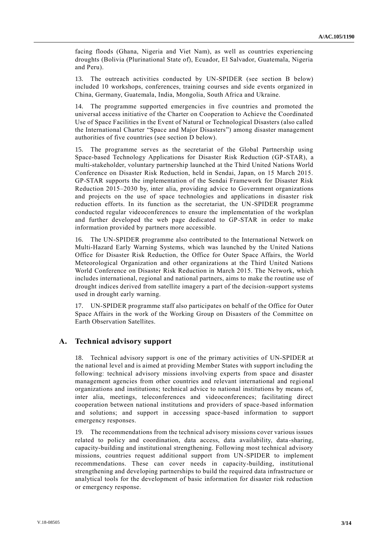facing floods (Ghana, Nigeria and Viet Nam), as well as countries experiencing droughts (Bolivia (Plurinational State of), Ecuador, El Salvador, Guatemala, Nigeria and Peru).

13. The outreach activities conducted by UN-SPIDER (see section B below) included 10 workshops, conferences, training courses and side events organized in China, Germany, Guatemala, India, Mongolia, South Africa and Ukraine.

14. The programme supported emergencies in five countries and promoted the universal access initiative of the Charter on Cooperation to Achieve the Coordinated Use of Space Facilities in the Event of Natural or Technological Disasters (also called the International Charter "Space and Major Disasters") among disaster management authorities of five countries (see section D below).

15. The programme serves as the secretariat of the Global Partnership using Space-based Technology Applications for Disaster Risk Reduction (GP-STAR), a multi-stakeholder, voluntary partnership launched at the Third United Nations World Conference on Disaster Risk Reduction, held in Sendai, Japan, on 15 March 2015. GP-STAR supports the implementation of the Sendai Framework for Disaster Risk Reduction 2015–2030 by, inter alia, providing advice to Government organizations and projects on the use of space technologies and applications in disaster risk reduction efforts. In its function as the secretariat, the UN-SPIDER programme conducted regular videoconferences to ensure the implementation of the workplan and further developed the web page dedicated to GP-STAR in order to make information provided by partners more accessible.

16. The UN-SPIDER programme also contributed to the International Network on Multi-Hazard Early Warning Systems, which was launched by the United Nations Office for Disaster Risk Reduction, the Office for Outer Space Affairs, the World Meteorological Organization and other organizations at the Third United Nations World Conference on Disaster Risk Reduction in March 2015. The Network, which includes international, regional and national partners, aims to make the routine use of drought indices derived from satellite imagery a part of the decision-support systems used in drought early warning.

17. UN-SPIDER programme staff also participates on behalf of the Office for Outer Space Affairs in the work of the Working Group on Disasters of the Committee on Earth Observation Satellites.

#### **A. Technical advisory support**

18. Technical advisory support is one of the primary activities of UN-SPIDER at the national level and is aimed at providing Member States with support including the following: technical advisory missions involving experts from space and disaster management agencies from other countries and relevant international and regional organizations and institutions; technical advice to national institutions by means of, inter alia, meetings, teleconferences and videoconferences; facilitating direct cooperation between national institutions and providers of space -based information and solutions; and support in accessing space-based information to support emergency responses.

19. The recommendations from the technical advisory missions cover various issues related to policy and coordination, data access, data availability, data -sharing, capacity-building and institutional strengthening. Following most technical advisory missions, countries request additional support from UN-SPIDER to implement recommendations. These can cover needs in capacity-building, institutional strengthening and developing partnerships to build the required data infrastructure or analytical tools for the development of basic information for disaster risk reduction or emergency response.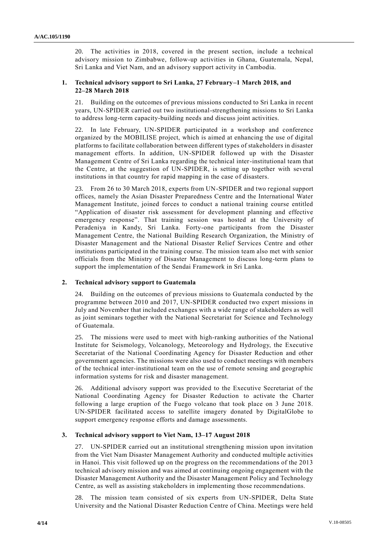20. The activities in 2018, covered in the present section, include a technical advisory mission to Zimbabwe, follow-up activities in Ghana, Guatemala, Nepal, Sri Lanka and Viet Nam, and an advisory support activity in Cambodia.

#### **1. Technical advisory support to Sri Lanka, 27 February–1 March 2018, and 22–28 March 2018**

21. Building on the outcomes of previous missions conducted to Sri Lanka in recent years, UN-SPIDER carried out two institutional-strengthening missions to Sri Lanka to address long-term capacity-building needs and discuss joint activities.

In late February, UN-SPIDER participated in a workshop and conference organized by the MOBILISE project, which is aimed at enhancing the use of digital platforms to facilitate collaboration between different types of stakeholders in disaster management efforts. In addition, UN-SPIDER followed up with the Disaster Management Centre of Sri Lanka regarding the technical inter-institutional team that the Centre, at the suggestion of UN-SPIDER, is setting up together with several institutions in that country for rapid mapping in the case of disasters.

23. From 26 to 30 March 2018, experts from UN-SPIDER and two regional support offices, namely the Asian Disaster Preparedness Centre and the International Water Management Institute, joined forces to conduct a national training course entitled "Application of disaster risk assessment for development planning and effective emergency response". That training session was hosted at the University of Peradeniya in Kandy, Sri Lanka. Forty-one participants from the Disaster Management Centre, the National Building Research Organization, the Ministry of Disaster Management and the National Disaster Relief Services Centre and other institutions participated in the training course. The mission team also met with senior officials from the Ministry of Disaster Management to discuss long-term plans to support the implementation of the Sendai Framework in Sri Lanka.

#### **2. Technical advisory support to Guatemala**

24. Building on the outcomes of previous missions to Guatemala conducted by the programme between 2010 and 2017, UN-SPIDER conducted two expert missions in July and November that included exchanges with a wide range of stakeholders as well as joint seminars together with the National Secretariat for Science and Technology of Guatemala.

25. The missions were used to meet with high-ranking authorities of the National Institute for Seismology, Volcanology, Meteorology and Hydrology, the Executive Secretariat of the National Coordinating Agency for Disaster Reduction and other government agencies. The missions were also used to conduct meetings with members of the technical inter-institutional team on the use of remote sensing and geographic information systems for risk and disaster management.

26. Additional advisory support was provided to the Executive Secretariat of the National Coordinating Agency for Disaster Reduction to activate the Charter following a large eruption of the Fuego volcano that took place on 3 June 2018. UN-SPIDER facilitated access to satellite imagery donated by DigitalGlobe to support emergency response efforts and damage assessments.

## **3. Technical advisory support to Viet Nam, 13–17 August 2018**

27. UN-SPIDER carried out an institutional strengthening mission upon invitation from the Viet Nam Disaster Management Authority and conducted multiple activities in Hanoi. This visit followed up on the progress on the recommendations of the 2013 technical advisory mission and was aimed at continuing ongoing engagement with the Disaster Management Authority and the Disaster Management Policy and Technology Centre, as well as assisting stakeholders in implementing those recommendations.

28. The mission team consisted of six experts from UN-SPIDER, Delta State University and the National Disaster Reduction Centre of China. Meetings were held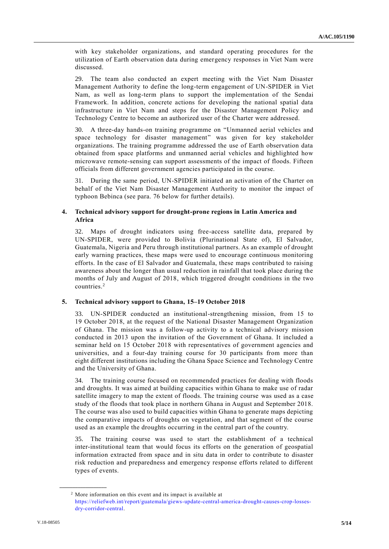with key stakeholder organizations, and standard operating procedures for the utilization of Earth observation data during emergency responses in Viet Nam were discussed.

29. The team also conducted an expert meeting with the Viet Nam Disaster Management Authority to define the long-term engagement of UN-SPIDER in Viet Nam, as well as long-term plans to support the implementation of the Sendai Framework. In addition, concrete actions for developing the national spatial data infrastructure in Viet Nam and steps for the Disaster Management Policy and Technology Centre to become an authorized user of the Charter were addressed.

30. A three-day hands-on training programme on "Unmanned aerial vehicles and space technology for disaster management" was given for key stakeholder organizations. The training programme addressed the use of Earth observation data obtained from space platforms and unmanned aerial vehicles and highlighted how microwave remote-sensing can support assessments of the impact of floods. Fifteen officials from different government agencies participated in the course.

31. During the same period, UN-SPIDER initiated an activation of the Charter on behalf of the Viet Nam Disaster Management Authority to monitor the impact of typhoon Bebinca (see para. 76 below for further details).

### **4. Technical advisory support for drought-prone regions in Latin America and Africa**

32. Maps of drought indicators using free-access satellite data, prepared by UN-SPIDER, were provided to Bolivia (Plurinational State of), El Salvador, Guatemala, Nigeria and Peru through institutional partners. As an example of drought early warning practices, these maps were used to encourage continuous monitoring efforts. In the case of El Salvador and Guatemala, these maps contributed to raising awareness about the longer than usual reduction in rainfall that took place during the months of July and August of 2018, which triggered drought conditions in the two countries.<sup>2</sup>

#### **5. Technical advisory support to Ghana, 15–19 October 2018**

33. UN-SPIDER conducted an institutional-strengthening mission, from 15 to 19 October 2018, at the request of the National Disaster Management Organization of Ghana. The mission was a follow-up activity to a technical advisory mission conducted in 2013 upon the invitation of the Government of Ghana. It included a seminar held on 15 October 2018 with representatives of government agencies and universities, and a four-day training course for 30 participants from more than eight different institutions including the Ghana Space Science and Technology Centre and the University of Ghana.

The training course focused on recommended practices for dealing with floods and droughts. It was aimed at building capacities within Ghana to make use of radar satellite imagery to map the extent of floods. The training course was used as a case study of the floods that took place in northern Ghana in August and September 2018. The course was also used to build capacities within Ghana to generate maps depicting the comparative impacts of droughts on vegetation, and that segment of the course used as an example the droughts occurring in the central part of the country.

35. The training course was used to start the establishment of a technical inter-institutional team that would focus its efforts on the generation of geospatial information extracted from space and in situ data in order to contribute to disaster risk reduction and preparedness and emergency response efforts related to different types of events.

**\_\_\_\_\_\_\_\_\_\_\_\_\_\_\_\_\_\_**

<sup>2</sup> More information on this event and its impact is available at [https://reliefweb.int/report/guatemala/giews-update-central-america-drought-causes-crop-losses](https://reliefweb.int/report/guatemala/giews-update-central-america-drought-causes-crop-losses-dry-corridor-central)[dry-corridor-central.](https://reliefweb.int/report/guatemala/giews-update-central-america-drought-causes-crop-losses-dry-corridor-central)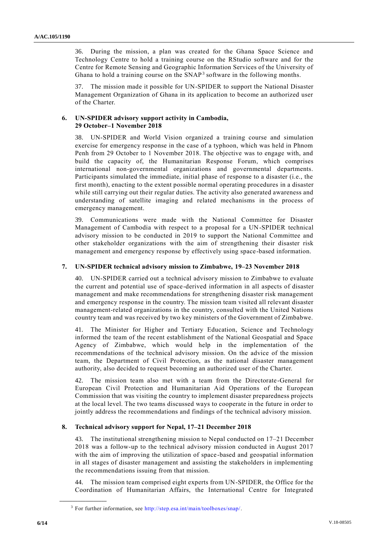36. During the mission, a plan was created for the Ghana Space Science and Technology Centre to hold a training course on the RStudio software and for the Centre for Remote Sensing and Geographic Information Services of the University of Ghana to hold a training course on the SNAP<sup>3</sup> software in the following months.

37. The mission made it possible for UN-SPIDER to support the National Disaster Management Organization of Ghana in its application to become an authorized user of the Charter.

#### **6. UN-SPIDER advisory support activity in Cambodia, 29 October–1 November 2018**

38. UN-SPIDER and World Vision organized a training course and simulation exercise for emergency response in the case of a typhoon, which was held in Phnom Penh from 29 October to 1 November 2018. The objective was to engage with, and build the capacity of, the Humanitarian Response Forum, which comprises international non-governmental organizations and governmental departments. Participants simulated the immediate, initial phase of response to a disaster (i.e., the first month), enacting to the extent possible normal operating procedures in a disaster while still carrying out their regular duties. The activity also generated awareness and understanding of satellite imaging and related mechanisms in the process of emergency management.

39. Communications were made with the National Committee for Disaster Management of Cambodia with respect to a proposal for a UN-SPIDER technical advisory mission to be conducted in 2019 to support the National Committee and other stakeholder organizations with the aim of strengthening their disaster risk management and emergency response by effectively using space-based information.

#### **7. UN-SPIDER technical advisory mission to Zimbabwe, 19–23 November 2018**

40. UN-SPIDER carried out a technical advisory mission to Zimbabwe to evaluate the current and potential use of space-derived information in all aspects of disaster management and make recommendations for strengthening disaster risk management and emergency response in the country. The mission team visited all relevant disaster management-related organizations in the country, consulted with the United Nations country team and was received by two key ministers of the Government of Zimbabwe.

41. The Minister for Higher and Tertiary Education, Science and Technology informed the team of the recent establishment of the National Geospatial and Space Agency of Zimbabwe, which would help in the implementation of the recommendations of the technical advisory mission. On the advice of the mission team, the Department of Civil Protection, as the national disaster management authority, also decided to request becoming an authorized user of the Charter.

42. The mission team also met with a team from the Directorate-General for European Civil Protection and Humanitarian Aid Operations of the European Commission that was visiting the country to implement disaster preparedness projects at the local level. The two teams discussed ways to cooperate in the future in order to jointly address the recommendations and findings of the technical advisory mission.

## **8. Technical advisory support for Nepal, 17–21 December 2018**

43. The institutional strengthening mission to Nepal conducted on 17–21 December 2018 was a follow-up to the technical advisory mission conducted in August 2017 with the aim of improving the utilization of space-based and geospatial information in all stages of disaster management and assisting the stakeholders in implementing the recommendations issuing from that mission.

44. The mission team comprised eight experts from UN-SPIDER, the Office for the Coordination of Humanitarian Affairs, the International Centre for Integrated

**\_\_\_\_\_\_\_\_\_\_\_\_\_\_\_\_\_\_**

<sup>&</sup>lt;sup>3</sup> For further information, see [http://step.esa.int/main/toolboxes/snap/.](http://step.esa.int/main/toolboxes/snap/)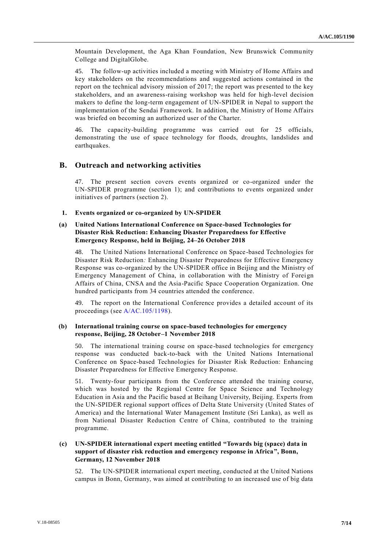Mountain Development, the Aga Khan Foundation, New Brunswick Community College and DigitalGlobe.

45. The follow-up activities included a meeting with Ministry of Home Affairs and key stakeholders on the recommendations and suggested actions contained in the report on the technical advisory mission of  $2017$ ; the report was presented to the key stakeholders, and an awareness-raising workshop was held for high-level decision makers to define the long-term engagement of UN-SPIDER in Nepal to support the implementation of the Sendai Framework. In addition, the Ministry of Home Affairs was briefed on becoming an authorized user of the Charter.

46. The capacity-building programme was carried out for 25 officials, demonstrating the use of space technology for floods, droughts, landslides and earthquakes.

#### **B. Outreach and networking activities**

47. The present section covers events organized or co-organized under the UN-SPIDER programme (section 1); and contributions to events organized under initiatives of partners (section 2).

## **1. Events organized or co-organized by UN-SPIDER**

#### **(a) United Nations International Conference on Space-based Technologies for Disaster Risk Reduction: Enhancing Disaster Preparedness for Effective Emergency Response, held in Beijing, 24–26 October 2018**

48. The United Nations International Conference on Space-based Technologies for Disaster Risk Reduction*:* Enhancing Disaster Preparedness for Effective Emergency Response was co-organized by the UN-SPIDER office in Beijing and the Ministry of Emergency Management of China, in collaboration with the Ministry of Foreign Affairs of China, CNSA and the Asia-Pacific Space Cooperation Organization. One hundred participants from 34 countries attended the conference.

49. The report on the International Conference provides a detailed account of its proceedings (see [A/AC.105/1198\)](http://undocs.org/A/AC.105/1198).

#### **(b) International training course on space-based technologies for emergency response, Beijing, 28 October–1 November 2018**

50. The international training course on space-based technologies for emergency response was conducted back-to-back with the United Nations International Conference on Space-based Technologies for Disaster Risk Reduction: Enhancing Disaster Preparedness for Effective Emergency Response.

51. Twenty-four participants from the Conference attended the training course, which was hosted by the Regional Centre for Space Science and Technology Education in Asia and the Pacific based at Beihang University, Beijing. Experts from the UN-SPIDER regional support offices of Delta State University (United States of America) and the International Water Management Institute (Sri Lanka), as well as from National Disaster Reduction Centre of China, contributed to the training programme.

#### **(c) UN-SPIDER international expert meeting entitled "Towards big (space) data in support of disaster risk reduction and emergency response in Africa", Bonn, Germany, 12 November 2018**

52. The UN-SPIDER international expert meeting, conducted at the United Nations campus in Bonn, Germany, was aimed at contributing to an increased use of big data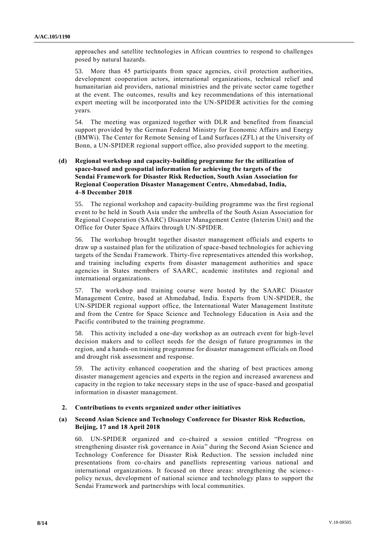approaches and satellite technologies in African countries to respond to challenges posed by natural hazards.

53. More than 45 participants from space agencies, civil protection authorities, development cooperation actors, international organizations, technical relief and humanitarian aid providers, national ministries and the private sector came together at the event. The outcomes, results and key recommendations of this international expert meeting will be incorporated into the UN-SPIDER activities for the coming years.

54. The meeting was organized together with DLR and benefited from financial support provided by the German Federal Ministry for Economic Affairs and Energy (BMWi). The Center for Remote Sensing of Land Surfaces (ZFL) at the University of Bonn, a UN-SPIDER regional support office, also provided support to the meeting.

#### **(d) Regional workshop and capacity-building programme for the utilization of space-based and geospatial information for achieving the targets of the Sendai Framework for Disaster Risk Reduction, South Asian Association for Regional Cooperation Disaster Management Centre, Ahmedabad, India, 4–8 December 2018**

55. The regional workshop and capacity-building programme was the first regional event to be held in South Asia under the umbrella of the South Asian Association for Regional Cooperation (SAARC) Disaster Management Centre (Interim Unit) and the Office for Outer Space Affairs through UN-SPIDER.

56. The workshop brought together disaster management officials and experts to draw up a sustained plan for the utilization of space-based technologies for achieving targets of the Sendai Framework. Thirty-five representatives attended this workshop, and training including experts from disaster management authorities and space agencies in States members of SAARC, academic institutes and regional and international organizations.

57. The workshop and training course were hosted by the SAARC Disaster Management Centre, based at Ahmedabad, India. Experts from UN-SPIDER, the UN-SPIDER regional support office, the International Water Management Institute and from the Centre for Space Science and Technology Education in Asia and the Pacific contributed to the training programme.

58. This activity included a one-day workshop as an outreach event for high-level decision makers and to collect needs for the design of future programmes in the region, and a hands-on training programme for disaster management officials on flood and drought risk assessment and response.

59. The activity enhanced cooperation and the sharing of best practices among disaster management agencies and experts in the region and increased awareness and capacity in the region to take necessary steps in the use of space-based and geospatial information in disaster management.

#### **2. Contributions to events organized under other initiatives**

#### **(a) Second Asian Science and Technology Conference for Disaster Risk Reduction, Beijing, 17 and 18 April 2018**

60. UN-SPIDER organized and co-chaired a session entitled "Progress on strengthening disaster risk governance in Asia" during the Second Asian Science and Technology Conference for Disaster Risk Reduction. The session included nine presentations from co-chairs and panellists representing various national and international organizations. It focused on three areas: strengthening the science policy nexus, development of national science and technology plans to support the Sendai Framework and partnerships with local communities.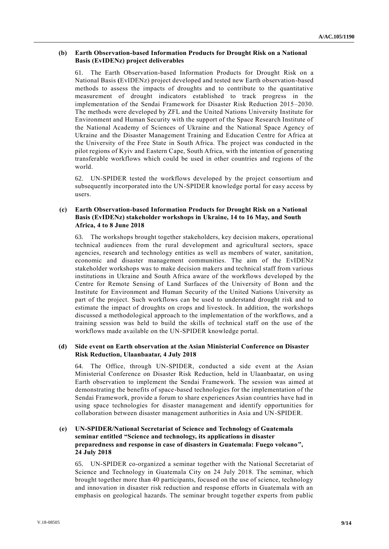#### **(b) Earth Observation-based Information Products for Drought Risk on a National Basis (EvIDENz) project deliverables**

The Earth Observation-based Information Products for Drought Risk on a National Basis **(**EvIDENz) project developed and tested new Earth observation-based methods to assess the impacts of droughts and to contribute to the quantitative measurement of drought indicators established to track progress in the implementation of the Sendai Framework for Disaster Risk Reduction 2015–2030. The methods were developed by ZFL and the United Nations University Institute for Environment and Human Security with the support of the Space Research Institute of the National Academy of Sciences of Ukraine and the National Space Agency of Ukraine and the Disaster Management Training and Education Centre for Africa at the University of the Free State in South Africa. The project was conducted in the pilot regions of Kyiv and Eastern Cape, South Africa, with the intention of generating transferable workflows which could be used in other countries and regions of the world.

62. UN-SPIDER tested the workflows developed by the project consortium and subsequently incorporated into the UN-SPIDER knowledge portal for easy access by users.

#### **(c) Earth Observation-based Information Products for Drought Risk on a National Basis (EvIDENz) stakeholder workshops in Ukraine, 14 to 16 May, and South Africa, 4 to 8 June 2018**

63. The workshops brought together stakeholders, key decision makers, operational technical audiences from the rural development and agricultural sectors, space agencies, research and technology entities as well as members of water, sanitation, economic and disaster management communities. The aim of the EvIDENz stakeholder workshops was to make decision makers and technical staff from various institutions in Ukraine and South Africa aware of the workflows developed by the Centre for Remote Sensing of Land Surfaces of the University of Bonn and the Institute for Environment and Human Security of the United Nations University as part of the project. Such workflows can be used to understand drought risk and to estimate the impact of droughts on crops and livestock. In addition, the workshops discussed a methodological approach to the implementation of the workflows, and a training session was held to build the skills of technical staff on the use of the workflows made available on the UN-SPIDER knowledge portal.

#### **(d) Side event on Earth observation at the Asian Ministerial Conference on Disaster Risk Reduction, Ulaanbaatar, 4 July 2018**

64. The Office, through UN-SPIDER, conducted a side event at the Asian Ministerial Conference on Disaster Risk Reduction, held in Ulaanbaatar, on using Earth observation to implement the Sendai Framework. The session was aimed at demonstrating the benefits of space-based technologies for the implementation of the Sendai Framework, provide a forum to share experiences Asian countries have had in using space technologies for disaster management and identify opportunities for collaboration between disaster management authorities in Asia and UN-SPIDER.

#### **(e) UN-SPIDER/National Secretariat of Science and Technology of Guatemala seminar entitled "Science and technology, its applications in disaster preparedness and response in case of disasters in Guatemala: Fuego volcano", 24 July 2018**

65. UN-SPIDER co-organized a seminar together with the National Secretariat of Science and Technology in Guatemala City on 24 July 2018. The seminar, which brought together more than 40 participants, focused on the use of science, technology and innovation in disaster risk reduction and response efforts in Guatemala with an emphasis on geological hazards. The seminar brought together experts from public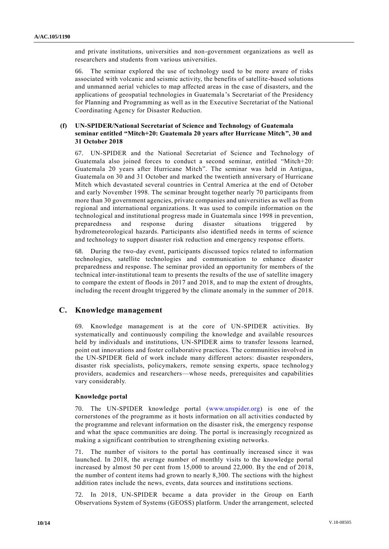and private institutions, universities and non-government organizations as well as researchers and students from various universities.

66. The seminar explored the use of technology used to be more aware of risks associated with volcanic and seismic activity, the benefits of satellite-based solutions and unmanned aerial vehicles to map affected areas in the case of disasters, and the applications of geospatial technologies in Guatemala's Secretariat of the Presidency for Planning and Programming as well as in the Executive Secretariat of the National Coordinating Agency for Disaster Reduction.

#### **(f) UN-SPIDER/National Secretariat of Science and Technology of Guatemala seminar entitled "Mitch+20: Guatemala 20 years after Hurricane Mitch", 30 and 31 October 2018**

67. UN-SPIDER and the National Secretariat of Science and Technology of Guatemala also joined forces to conduct a second seminar, entitled "Mitch+20: Guatemala 20 years after Hurricane Mitch". The seminar was held in Antigua, Guatemala on 30 and 31 October and marked the twentieth anniversary of Hurricane Mitch which devastated several countries in Central America at the end of October and early November 1998. The seminar brought together nearly 70 participants from more than 30 government agencies, private companies and universities as well as from regional and international organizations. It was used to compile information on the technological and institutional progress made in Guatemala since 1998 in prevention, preparedness and response during disaster situations triggered by hydrometeorological hazards. Participants also identified needs in terms of science and technology to support disaster risk reduction and emergency response efforts.

68. During the two-day event, participants discussed topics related to information technologies, satellite technologies and communication to enhance disaster preparedness and response. The seminar provided an opportunity for members of the technical inter-institutional team to presents the results of the use of satellite imagery to compare the extent of floods in 2017 and 2018, and to map the extent of droughts, including the recent drought triggered by the climate anomaly in the summer of 2018.

## **C. Knowledge management**

69. Knowledge management is at the core of UN-SPIDER activities. By systematically and continuously compiling the knowledge and available resources held by individuals and institutions, UN-SPIDER aims to transfer lessons learned, point out innovations and foster collaborative practices. The communities involved in the UN-SPIDER field of work include many different actors: disaster responders, disaster risk specialists, policymakers, remote sensing experts, space technology providers, academics and researchers—whose needs, prerequisites and capabilities vary considerably.

#### **Knowledge portal**

70. The UN-SPIDER knowledge portal [\(www.unspider.org\)](http://www.unspider.org/) is one of the cornerstones of the programme as it hosts information on all activities conducted by the programme and relevant information on the disaster risk, the emergency response and what the space communities are doing. The portal is increasingly recognized as making a significant contribution to strengthening existing networks.

71. The number of visitors to the portal has continually increased since it was launched. In 2018, the average number of monthly visits to the knowledge portal increased by almost 50 per cent from 15,000 to around 22,000. By the end of 2018, the number of content items had grown to nearly 8,300. The sections with the highest addition rates include the news, events, data sources and institutions sections.

72. In 2018, UN-SPIDER became a data provider in the Group on Earth Observations System of Systems (GEOSS) platform. Under the arrangement, selected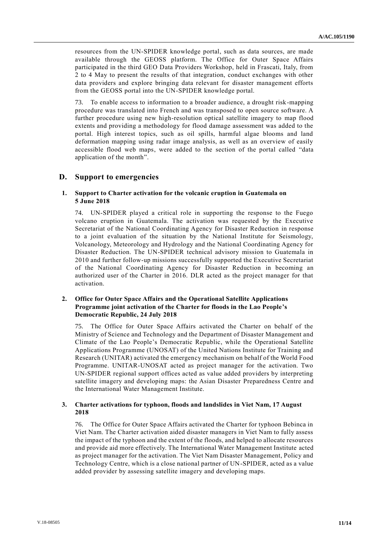resources from the UN-SPIDER knowledge portal, such as data sources, are made available through the GEOSS platform. The Office for Outer Space Affairs participated in the third GEO Data Providers Workshop, held in Frascati, Italy, from 2 to 4 May to present the results of that integration, conduct exchanges with other data providers and explore bringing data relevant for disaster management efforts from the GEOSS portal into the UN-SPIDER knowledge portal.

73. To enable access to information to a broader audience, a drought risk-mapping procedure was translated into French and was transposed to open source software. A further procedure using new high-resolution optical satellite imagery to map flood extents and providing a methodology for flood damage assessment was added to the portal. High interest topics, such as oil spills, harmful algae blooms and land deformation mapping using radar image analysis, as well as an overview of easily accessible flood web maps, were added to the section of the portal called "data application of the month".

#### **D. Support to emergencies**

#### **1. Support to Charter activation for the volcanic eruption in Guatemala on 5 June 2018**

74. UN-SPIDER played a critical role in supporting the response to the Fuego volcano eruption in Guatemala. The activation was requested by the Executive Secretariat of the National Coordinating Agency for Disaster Reduction in response to a joint evaluation of the situation by the National Institute for Seismology, Volcanology, Meteorology and Hydrology and the National Coordinating Agency for Disaster Reduction. The UN-SPIDER technical advisory mission to Guatemala in 2010 and further follow-up missions successfully supported the Executive Secretariat of the National Coordinating Agency for Disaster Reduction in becoming an authorized user of the Charter in 2016. DLR acted as the project manager for that activation.

#### **2. Office for Outer Space Affairs and the Operational Satellite Applications Programme joint activation of the Charter for floods in the Lao People's Democratic Republic, 24 July 2018**

75. The Office for Outer Space Affairs activated the Charter on behalf of the Ministry of Science and Technology and the Department of Disaster Management and Climate of the Lao People's Democratic Republic, while the Operational Satellite Applications Programme (UNOSAT) of the United Nations Institute for Training and Research (UNITAR) activated the emergency mechanism on behalf of the World Food Programme. UNITAR-UNOSAT acted as project manager for the activation. Two UN-SPIDER regional support offices acted as value added providers by interpreting satellite imagery and developing maps: the Asian Disaster Preparedness Centre and the International Water Management Institute.

#### **3. Charter activations for typhoon, floods and landslides in Viet Nam, 17 August 2018**

76. The Office for Outer Space Affairs activated the Charter for typhoon Bebinca in Viet Nam. The Charter activation aided disaster managers in Viet Nam to fully assess the impact of the typhoon and the extent of the floods, and helped to allocate resources and provide aid more effectively. The International Water Management Institute acted as project manager for the activation. The Viet Nam Disaster Management, Policy and Technology Centre, which is a close national partner of UN-SPIDER, acted as a value added provider by assessing satellite imagery and developing maps.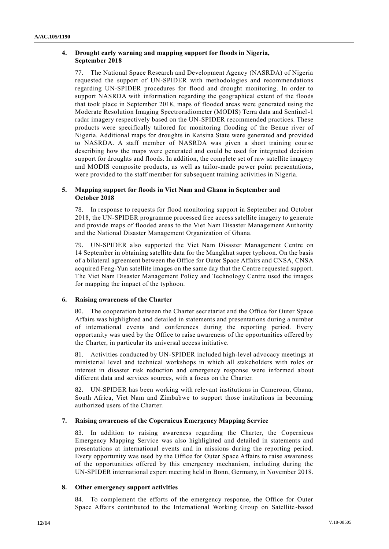## **4. Drought early warning and mapping support for floods in Nigeria, September 2018**

77. The National Space Research and Development Agency (NASRDA) of Nigeria requested the support of UN-SPIDER with methodologies and recommendations regarding UN-SPIDER procedures for flood and drought monitoring. In order to support NASRDA with information regarding the geographical extent of the floods that took place in September 2018, maps of flooded areas were generated using the Moderate Resolution Imaging Spectroradiometer (MODIS) Terra data and Sentinel-1 radar imagery respectively based on the UN-SPIDER recommended practices. These products were specifically tailored for monitoring flooding of the Benue river of Nigeria. Additional maps for droughts in Katsina State were generated and provided to NASRDA. A staff member of NASRDA was given a short training course describing how the maps were generated and could be used for integrated decision support for droughts and floods. In addition, the complete set of raw satellite imagery and MODIS composite products, as well as tailor-made power point presentations, were provided to the staff member for subsequent training activities in Nigeria.

#### **5. Mapping support for floods in Viet Nam and Ghana in September and October 2018**

78. In response to requests for flood monitoring support in September and October 2018, the UN-SPIDER programme processed free access satellite imagery to generate and provide maps of flooded areas to the Viet Nam Disaster Management Authority and the National Disaster Management Organization of Ghana.

79. UN-SPIDER also supported the Viet Nam Disaster Management Centre on 14 September in obtaining satellite data for the Mangkhut super typhoon. On the basis of a bilateral agreement between the Office for Outer Space Affairs and CNSA, CNSA acquired Feng-Yun satellite images on the same day that the Centre requested support. The Viet Nam Disaster Management Policy and Technology Centre used the images for mapping the impact of the typhoon.

## **6. Raising awareness of the Charter**

80. The cooperation between the Charter secretariat and the Office for Outer Space Affairs was highlighted and detailed in statements and presentations during a number of international events and conferences during the reporting period. Every opportunity was used by the Office to raise awareness of the opportunities offered by the Charter, in particular its universal access initiative.

81. Activities conducted by UN-SPIDER included high-level advocacy meetings at ministerial level and technical workshops in which all stakeholders with roles or interest in disaster risk reduction and emergency response were informed a bout different data and services sources, with a focus on the Charter.

82. UN-SPIDER has been working with relevant institutions in Cameroon, Ghana, South Africa, Viet Nam and Zimbabwe to support those institutions in becoming authorized users of the Charter.

## **7. Raising awareness of the Copernicus Emergency Mapping Service**

83. In addition to raising awareness regarding the Charter, the Copernicus Emergency Mapping Service was also highlighted and detailed in statements and presentations at international events and in missions during the reporting period. Every opportunity was used by the Office for Outer Space Affairs to raise awareness of the opportunities offered by this emergency mechanism, including during the UN-SPIDER international expert meeting held in Bonn, Germany, in November 2018.

#### **8. Other emergency support activities**

84. To complement the efforts of the emergency response, the Office for Outer Space Affairs contributed to the International Working Group on Satellite -based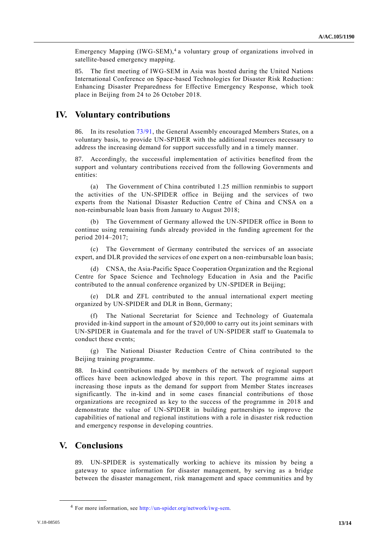Emergency Mapping (IWG-SEM),<sup>4</sup> a voluntary group of organizations involved in satellite-based emergency mapping.

85. The first meeting of IWG-SEM in Asia was hosted during the United Nations International Conference on Space-based Technologies for Disaster Risk Reduction: Enhancing Disaster Preparedness for Effective Emergency Response, which took place in Beijing from 24 to 26 October 2018.

# **IV. Voluntary contributions**

86. In its resolution [73/91,](http://undocs.org/A/RES/73/91) the General Assembly encouraged Members States, on a voluntary basis, to provide UN-SPIDER with the additional resources necessary to address the increasing demand for support successfully and in a timely manner.

87. Accordingly, the successful implementation of activities benefited from the support and voluntary contributions received from the following Governments and entities:

(a) The Government of China contributed 1.25 million renminbis to support the activities of the UN-SPIDER office in Beijing and the services of two experts from the National Disaster Reduction Centre of China and CNSA on a non-reimbursable loan basis from January to August 2018;

(b) The Government of Germany allowed the UN-SPIDER office in Bonn to continue using remaining funds already provided in the funding agreement for the period 2014–2017;

(c) The Government of Germany contributed the services of an associate expert, and DLR provided the services of one expert on a non-reimbursable loan basis;

(d) CNSA, the Asia-Pacific Space Cooperation Organization and the Regional Centre for Space Science and Technology Education in Asia and the Pacific contributed to the annual conference organized by UN-SPIDER in Beijing;

(e) DLR and ZFL contributed to the annual international expert meeting organized by UN-SPIDER and DLR in Bonn, Germany;

(f) The National Secretariat for Science and Technology of Guatemala provided in-kind support in the amount of \$20,000 to carry out its joint seminars with UN-SPIDER in Guatemala and for the travel of UN-SPIDER staff to Guatemala to conduct these events;

(g) The National Disaster Reduction Centre of China contributed to the Beijing training programme.

88. In-kind contributions made by members of the network of regional support offices have been acknowledged above in this report. The programme aims at increasing those inputs as the demand for support from Member States increases significantly. The in-kind and in some cases financial contributions of those organizations are recognized as key to the success of the programme in 2018 and demonstrate the value of UN-SPIDER in building partnerships to improve the capabilities of national and regional institutions with a role in disaster risk reduction and emergency response in developing countries.

# **V. Conclusions**

**\_\_\_\_\_\_\_\_\_\_\_\_\_\_\_\_\_\_**

89. UN-SPIDER is systematically working to achieve its mission by being a gateway to space information for disaster management, by serving as a bridge between the disaster management, risk management and space communities and by

<sup>4</sup> For more information, see [http://un-spider.org/network/iwg-sem.](http://un-spider.org/network/iwg-sem)